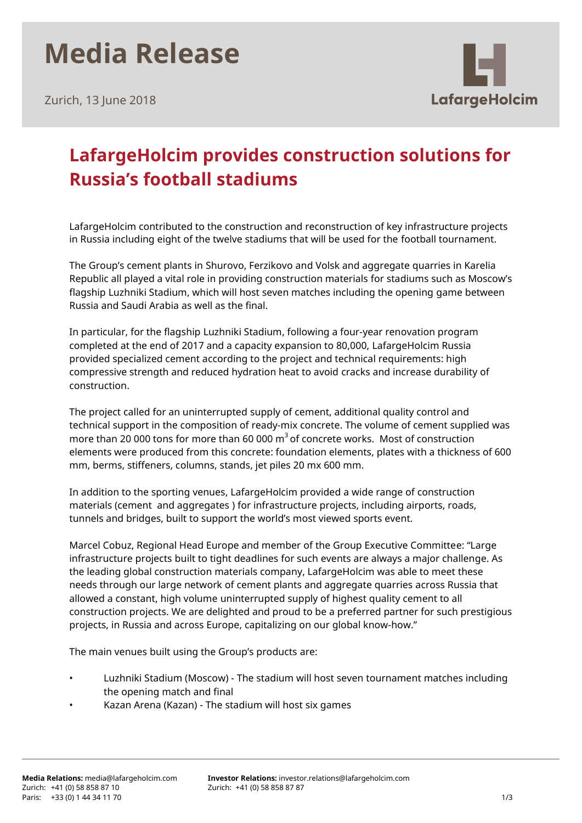## **Media Release**

Zurich, 13 June 2018



## **LafargeHolcim provides construction solutions for Russia's football stadiums**

LafargeHolcim contributed to the construction and reconstruction of key infrastructure projects in Russia including eight of the twelve stadiums that will be used for the football tournament.

The Group's cement plants in Shurovo, Ferzikovo and Volsk and aggregate quarries in Karelia Republic all played a vital role in providing construction materials for stadiums such as Moscow's flagship Luzhniki Stadium, which will host seven matches including the opening game between Russia and Saudi Arabia as well as the final.

In particular, for the flagship Luzhniki Stadium, following a four-year renovation program completed at the end of 2017 and a capacity expansion to 80,000, LafargeHolcim Russia provided specialized cement according to the project and technical requirements: high compressive strength and reduced hydration heat to avoid cracks and increase durability of construction.

The project called for an uninterrupted supply of cement, additional quality control and technical support in the composition of ready-mix concrete. The volume of cement supplied was more than 20 000 tons for more than 60 000  $\text{m}^{3}$  of concrete works. Most of construction elements were produced from this concrete: foundation elements, plates with a thickness of 600 mm, berms, stiffeners, columns, stands, jet piles 20 mx 600 mm.

In addition to the sporting venues, LafargeHolcim provided a wide range of construction materials (cement and aggregates ) for infrastructure projects, including airports, roads, tunnels and bridges, built to support the world's most viewed sports event.

Marcel Cobuz, Regional Head Europe and member of the Group Executive Committee: "Large infrastructure projects built to tight deadlines for such events are always a major challenge. As the leading global construction materials company, LafargeHolcim was able to meet these needs through our large network of cement plants and aggregate quarries across Russia that allowed a constant, high volume uninterrupted supply of highest quality cement to all construction projects. We are delighted and proud to be a preferred partner for such prestigious projects, in Russia and across Europe, capitalizing on our global know-how."

The main venues built using the Group's products are:

- Luzhniki Stadium (Moscow) The stadium will host seven tournament matches including the opening match and final
- Kazan Arena (Kazan) The stadium will host six games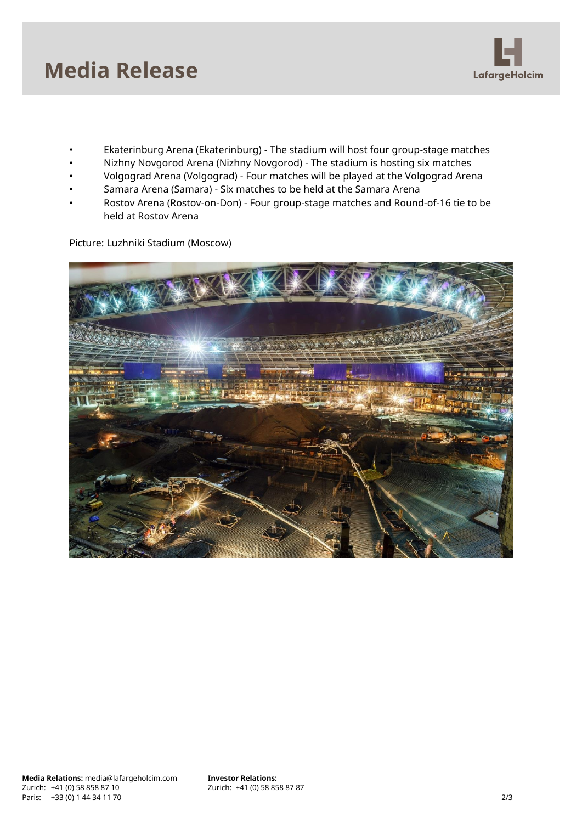

- Ekaterinburg Arena (Ekaterinburg) The stadium will host four group-stage matches
- Nizhny Novgorod Arena (Nizhny Novgorod) The stadium is hosting six matches
- Volgograd Arena (Volgograd) Four matches will be played at the Volgograd Arena
- Samara Arena (Samara) Six matches to be held at the Samara Arena
- Rostov Arena (Rostov-on-Don) Four group-stage matches and Round-of-16 tie to be held at Rostov Arena

Picture: Luzhniki Stadium (Moscow)